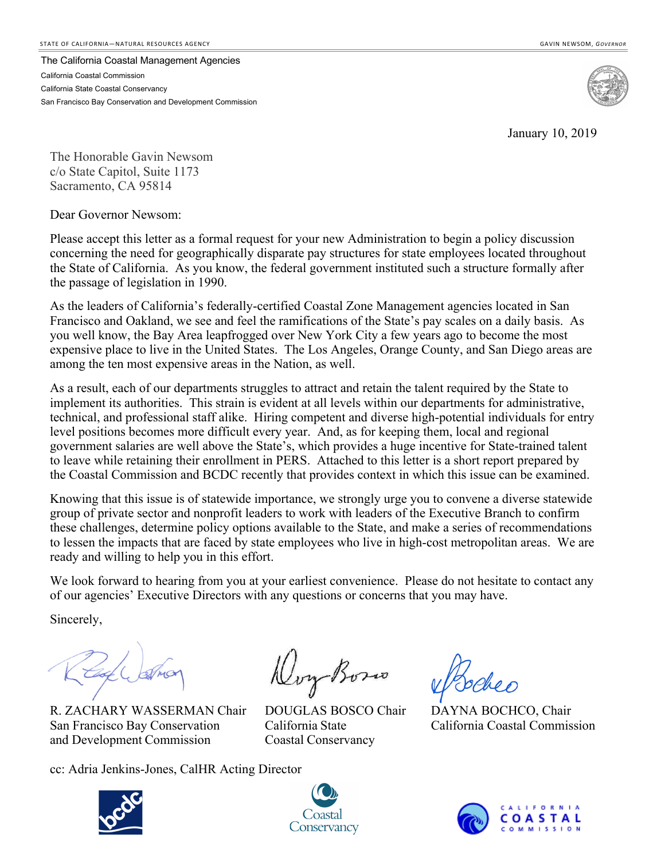The California Coastal Management Agencies California Coastal Commission California State Coastal Conservancy San Francisco Bay Conservation and Development Commission



January 10, 2019

The Honorable Gavin Newsom c/o State Capitol, Suite 1173 Sacramento, CA 95814

Dear Governor Newsom:

Please accept this letter as a formal request for your new Administration to begin a policy discussion concerning the need for geographically disparate pay structures for state employees located throughout the State of California. As you know, the federal government instituted such a structure formally after the passage of legislation in 1990.

As the leaders of California's federally-certified Coastal Zone Management agencies located in San Francisco and Oakland, we see and feel the ramifications of the State's pay scales on a daily basis. As you well know, the Bay Area leapfrogged over New York City a few years ago to become the most expensive place to live in the United States. The Los Angeles, Orange County, and San Diego areas are among the ten most expensive areas in the Nation, as well.

As a result, each of our departments struggles to attract and retain the talent required by the State to implement its authorities. This strain is evident at all levels within our departments for administrative, technical, and professional staff alike. Hiring competent and diverse high-potential individuals for entry level positions becomes more difficult every year. And, as for keeping them, local and regional government salaries are well above the State's, which provides a huge incentive for State-trained talent to leave while retaining their enrollment in PERS. Attached to this letter is a short report prepared by the Coastal Commission and BCDC recently that provides context in which this issue can be examined.

Knowing that this issue is of statewide importance, we strongly urge you to convene a diverse statewide group of private sector and nonprofit leaders to work with leaders of the Executive Branch to confirm these challenges, determine policy options available to the State, and make a series of recommendations to lessen the impacts that are faced by state employees who live in high-cost metropolitan areas. We are ready and willing to help you in this effort.

We look forward to hearing from you at your earliest convenience. Please do not hesitate to contact any of our agencies' Executive Directors with any questions or concerns that you may have.

Sincerely,

R. ZACHARY WASSERMAN Chair DOUGLAS BOSCO Chair DAYNA BOCHCO, Chair San Francisco Bay Conservation California State California Coastal Commission and Development Commission Coastal Conservancy

cc: Adria Jenkins-Jones, CalHR Acting Director

Doy Boso





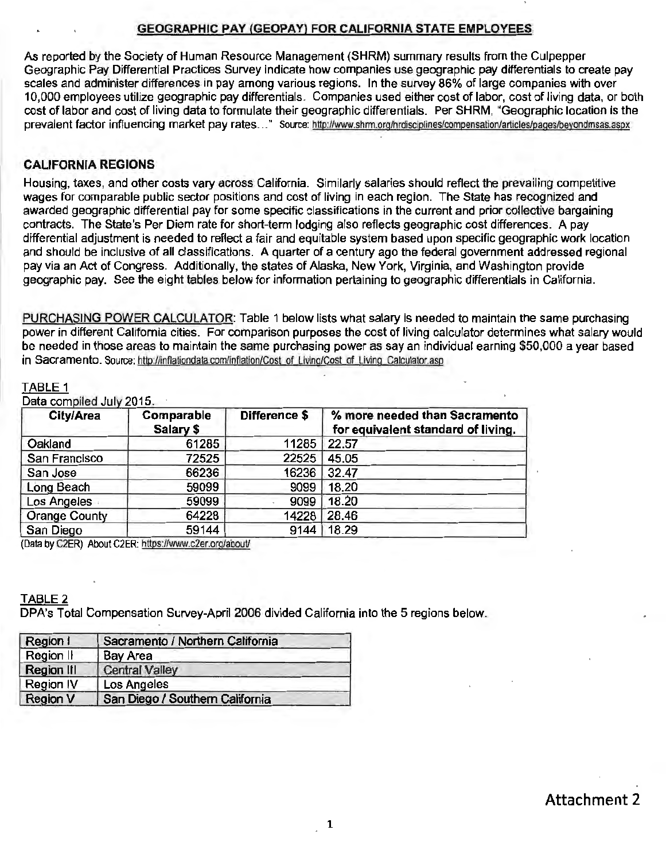### GEOGRAPHIC PAY CGEOPAY) FOR CALIFORNIA STATE EMPLOYEES

As reported by the Society of Human Resource Management (SHRM) summary results from the Culpepper Geographic Pay Differential Practices Survey indicate how companies use geographic pay differentials to create pay scales and administer differences in pay among various regions. In the survey 86% of large companies with over 10,000 employees utilize geographic pay differentials. Companies used either cost of labor, cost of living data, or both cost of labor and cost of living data to formulate their geographic differentials. Per SHRM, "Geographic location is the prevalent factor influencing market pay rates ..." Source: http://www.shrm.org/hrdisciplines/compensation/articles/pages/beyondmsas.aspx

### CALIFORNIA REGIONS

Housing, taxes, and other costs vary across California. Similarly salaries should reflect the prevailing competitive wages for comparable public sector positions and cost of living in each region. The State has recognized and awarded geographic differential pay for some specific classifications in the current and prior collective bargaining contracts. The State's Per Diem rate for short-term lodging also reflects geographic cost differences. A pay differential adjustment is needed to reflect a fair and equitable system based upon specific geographic work location and should be inclusive of all classifications. A quarter of a century ago the federal government addressed regional pay via an Act of Congress. Additionally, the states of Alaska, New York, Virginia, and Washington provide geographic pay. See the eight tables below for information pertaining to geographic differentials in California.

PURCHASING POWER CALCULATOR: Table 1 below lists what salary is needed to maintain the same purchasing power in different California cities. For comparison purposes the cost of living calculator determines what salary would be needed in those areas to maintain the same purchasing power as say an individual earning \$50,000 a year based in Sacramento. Source: http://inflationdata.com/inflation/Cost of Living/Cost of Living Calculator.asp

### TABLE 1

Data compiled July 2015

| City/Area            | Comparable<br>Salary \$ | Difference \$ | % more needed than Sacramento<br>for equivalent standard of living. |
|----------------------|-------------------------|---------------|---------------------------------------------------------------------|
| Oakland              | 61285                   | 11285         | 22.57                                                               |
| San Francisco        | 72525                   | 22525         | 45.05                                                               |
| San Jose             | 66236                   | 16236         | 32.47                                                               |
| Long Beach           | 59099                   | 9099          | 18.20                                                               |
| Los Angeles          | 59099                   | 9099          | 18.20                                                               |
| <b>Orange County</b> | 64228                   | 14228         | 28.46                                                               |
| San Diego            | 59144                   | 9144          | 18.29                                                               |

(Data by C2ER) About C2ER: https:/fwww.c2er.org/abouU

### TABLE 2

DPA's Total Compensation Survey-April 2006 divided California into the 5 regions below.

| Region I          | Sacramento / Northern California |
|-------------------|----------------------------------|
| Region II         | <b>Bay Area</b>                  |
| <b>Region III</b> | <b>Central Valley</b>            |
| Region IV         | Los Angeles                      |
| <b>Region V</b>   | San Diego / Southern California  |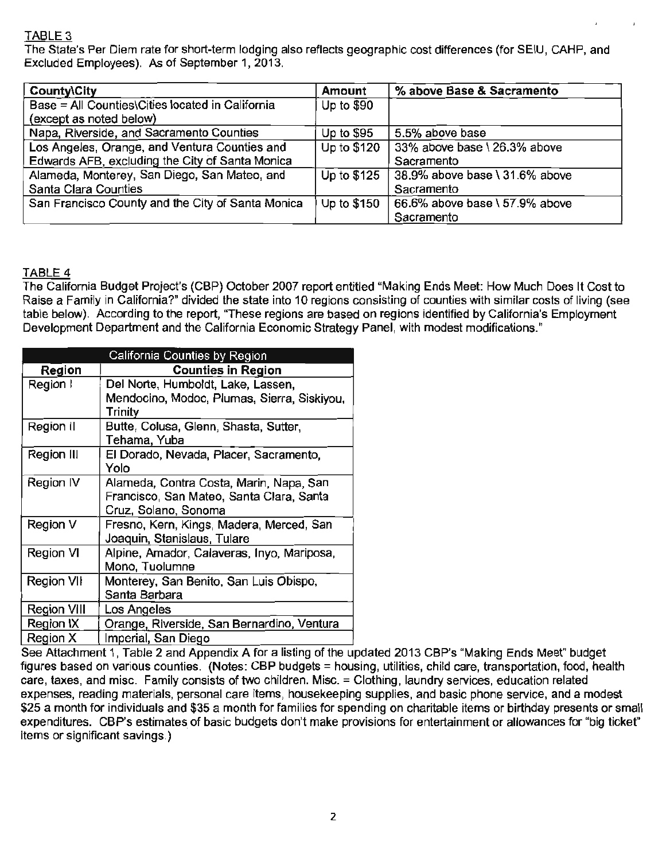# TABLE 3

The State's Per Diem rate for short-term lodging also reflects geographic cost differences (for SEIU, CAHP, and Excluded Employees). As of September 1, 2013.

| <b>County\City</b>                                | Amount       | % above Base & Sacramento      |
|---------------------------------------------------|--------------|--------------------------------|
| Base = All Counties\Cities located in California  | Up to \$90   |                                |
| (except as noted below)                           |              |                                |
| Napa, Riverside, and Sacramento Counties          | Up to $$95$  | 5.5% above base                |
| Los Angeles, Orange, and Ventura Counties and     | Up to \$120  | 33% above base \ 26.3% above   |
| Edwards AFB, excluding the City of Santa Monica   |              | Sacramento                     |
| Alameda, Monterey, San Diego, San Mateo, and      | Up to $$125$ | 38.9% above base \ 31.6% above |
| Santa Clara Counties                              |              | Sacramento                     |
| San Francisco County and the City of Santa Monica | Up to \$150  | 66.6% above base \ 57.9% above |
|                                                   |              | Sacramento                     |

## TABLE 4

The California Budget Project's (CBP) October 2007 report entitled "Making Ends Meet: How Much Does It Cost to Raise a Family in California?" divided the state into 10 regions consisting of counties with similar costs of living (see table below). According to the report, "These regions are based on regions identified by California's Employment Development Department and the California Economic Strategy Panel, with modest modifications."

|                                                      | California Counties by Region               |
|------------------------------------------------------|---------------------------------------------|
| Region                                               | <b>Counties in Region</b>                   |
| Region I                                             | Del Norte, Humboldt, Lake, Lassen,          |
|                                                      | Mendocino, Modoc, Plumas, Sierra, Siskiyou, |
|                                                      | Trinity                                     |
| Region II                                            | Butte, Colusa, Glenn, Shasta, Sutter,       |
|                                                      | Tehama, Yuba                                |
| Region III                                           | El Dorado, Nevada, Placer, Sacramento,      |
|                                                      | Yolo                                        |
| Alameda, Contra Costa, Marin, Napa, San<br>Region IV |                                             |
|                                                      | Francisco, San Mateo, Santa Clara, Santa    |
|                                                      | Cruz, Solano, Sonoma                        |
| Region V                                             | Fresno, Kern, Kings, Madera, Merced, San    |
|                                                      | Joaquin, Stanislaus, Tulare                 |
| Region VI                                            | Alpine, Amador, Calaveras, Inyo, Mariposa,  |
|                                                      | Mono, Tuolumne                              |
| Region VII                                           | Monterey, San Benito, San Luis Obispo,      |
|                                                      | Santa Barbara                               |
| Region VIII                                          | Los Angeles                                 |
| Region IX                                            | Orange, Riverside, San Bernardino, Ventura  |
| Region X                                             | Imperial, San Diego                         |

See Attachment 1, Table 2 and Appendix A for a listing of the updated 2013 CBP's "Making Ends Meet" budget figures based on various counties. (Notes: CBP budgets = housing, utilities, child care, transportation, food, health care, taxes, and misc. Family consists of two children. Misc.= Clothing, laundry services, education related expenses, reading materials, personal care items, housekeeping supplies, and basic phone service, and a modest \$25 a month for individuals and \$35 a month for families for spending on charitable items or birthday presents or small expenditures. CBP's estimates of basic budgets don't make provisions for entertainment or allowances for "big ticket" items or significant savings.)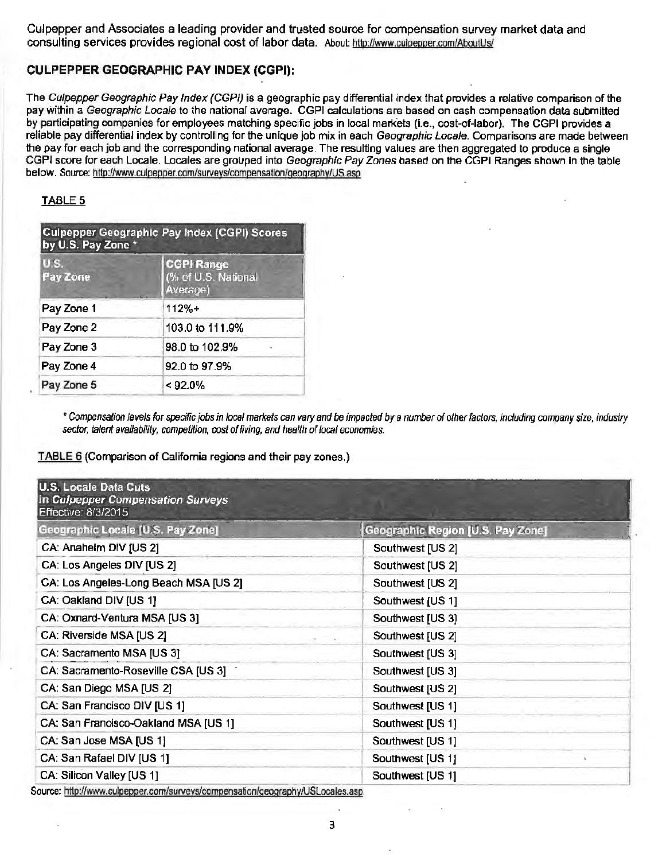Culpepper and Associates a leading provider and trusted source for compensation survey market data and consulting services provides regional cost of labor data. About: http://www.culpepper.com/AboutUs/

### **CULPEPPER GEOGRAPHIC PAY INDEX (CGPJ):**

The Culpepper Geographic Pay Index (CGPI) is a geographic pay differential index that provides a relative comparison of the pay within a Geographic Locale to the national average. CGPI calculations are based on cash compensation data submitted by participating companies for employees matching specific jobs in local markets (i.e., cost-of-labor). The CGPI provides a reliable pay differential index by controlling for the unique job mix in each Geographic Locale. Comparisons are made between the pay for each job and the corresponding national average. The resulting values are then aggregated to produce a single CGPI score for each Locale. Locales are grouped into Geographic Pay Zones based on the CGPI Ranges shown in the table below. Source: http://www.culpepper.com/surveys/compensation/geography/US.asp

#### TABLE 5

| <b>Culpepper Geographic Pay Index (CGPI) Scores</b><br>by U.S. Pay Zone * |                                                      |  |
|---------------------------------------------------------------------------|------------------------------------------------------|--|
| <b>US</b><br>Pay Zone                                                     | <b>CGPI Range</b><br>(% of U.S. National<br>Average) |  |
| Pay Zone 1                                                                | $112% +$                                             |  |
| Pay Zone 2                                                                | 103.0 to 111.9%                                      |  |
| Pay Zone 3                                                                | 98.0 to 102.9%                                       |  |
| Pay Zone 4                                                                | 92.0 to 97.9%                                        |  |
| Pay Zone 5                                                                | $< 92.0\%$                                           |  |

\* Compensation levels for specific jobs in local markets can vary and be impacted by a number of other factors, including company size, industry sector, talent availability, competition, cost of living, and health of local economies.

TABLE 6 (Comparison of California regions and their pay zones.)

| <b>U.S. Locale Data Cuts</b><br>in Culpepper Compensation Surveys<br>Effective: 8/3/2015 |                                   |
|------------------------------------------------------------------------------------------|-----------------------------------|
| Geographic Locale [U.S. Pay Zone]                                                        | Geographic Region [U.S. Pay Zone] |
| CA: Anaheim DIV [US 2]                                                                   | Southwest [US 2]                  |
| CA: Los Angeles DIV [US 2]                                                               | Southwest [US 2]                  |
| CA: Los Angeles-Long Beach MSA [US 2]                                                    | Southwest [US 2]                  |
| CA: Oakland DIV [US 1]                                                                   | Southwest [US 1]                  |
| CA: Oxnard-Ventura MSA [US 3]                                                            | Southwest [US 3]                  |
| CA: Riverside MSA [US 2]                                                                 | Southwest [US 2]                  |
| CA: Sacramento MSA [US 3]                                                                | Southwest [US 3]                  |
| CA: Sacramento-Roseville CSA [US 3]                                                      | Southwest [US 3]                  |
| CA: San Diego MSA [US 2]                                                                 | Southwest [US 2]                  |
| CA: San Francisco DIV [US 1]                                                             | Southwest [US 1]                  |
| CA: San Francisco-Oakland MSA [US 1]                                                     | Southwest [US 1]                  |
| CA: San Jose MSA [US 1]                                                                  | Southwest [US 1]                  |
| CA: San Rafael DIV [US 1]                                                                | Southwest [US 1]                  |
| CA: Silicon Valley [US 1]                                                                | Southwest [US 1]                  |

Source: http://www.culpepper.com/surveys/compensation/geography/USLocales.asp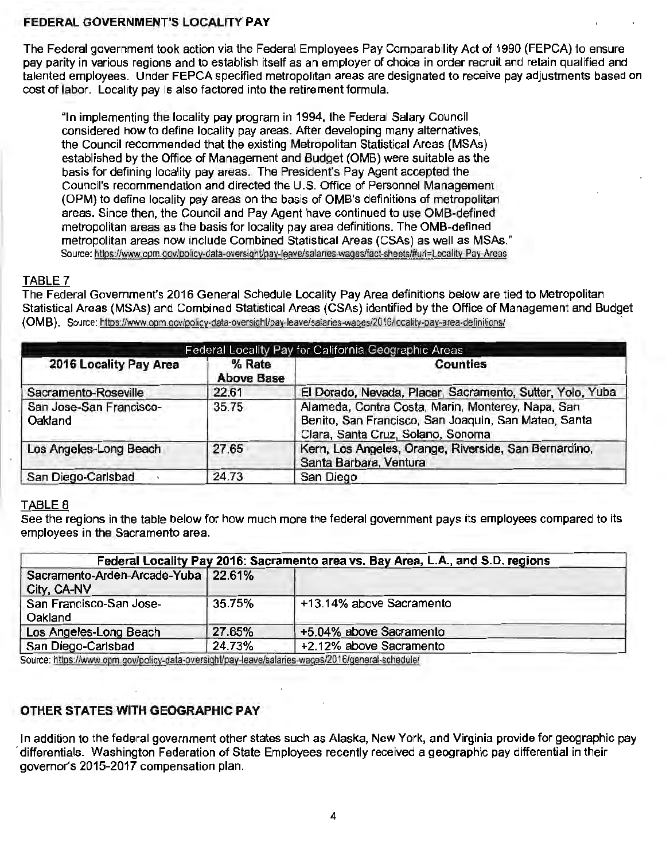### FEDERAL GOVERNMENT'S LOCALITY PAY

The Federal government took action via the Federal Employees Pay Comparability Act of 1990 (FEPCA) to ensure pay parity in various regions and to establish itself as an employer of choice in order recruit and retain qualified and talented employees. Under FEPCA specified metropolitan areas are designated to receive pay adjustments based on cost of labor. Locality pay is also factored into the retirement formula.

"In implementing the locality pay program in 1994, the Federal Salary Council considered how to define locality pay areas. After developing many alternatives, the Council recommended that the existing Metropolitan Statistical Areas (MSAs) established by the Office of Management and Budget (OMB) were suitable as the basis for defining locality pay areas. The President's Pay Agent accepted the Council's recommendation and directed the U.S. Office of Personnel Management (OPM) to define locality pay areas on the basis of OMB's definitions of metropolitan areas. Since then, the Council and Pay Agent have continued to use OMS-defined metropolitan areas as the basis for locality pay area definitions. The OMS-defined metropolitan areas now include Combined Statistical Areas (CSAs) as well as MSAs." Source: https://www.opm.gov/policy-data-oversight/pay-leave/salaries-wages/fact-sheets/#uri=Locality-Pay-Areas

### TABLE 7

The Federal Government's 2016 General Schedule Locality Pay Area definitions below are tied to Metropolitan Statistical Areas (MSAs) and Combined Statistical Areas (CSAs) identified by the Office of Management and Budget (OMB). Source: https://www.opm.gov/policy-data-oversight/pay-leave/salaries-wages/2016/locality-pay-area-definitions/

|                                    |                             | Federal Locality Pay for California Geographic Areas                                                                                           |
|------------------------------------|-----------------------------|------------------------------------------------------------------------------------------------------------------------------------------------|
| 2016 Locality Pay Area             | % Rate<br><b>Above Base</b> | Counties                                                                                                                                       |
| Sacramento-Roseville               | 22.61                       | El Dorado, Nevada, Placer, Sacramento, Sutter, Yolo, Yuba                                                                                      |
| San Jose-San Francisco-<br>Oakland | 35.75                       | Alameda, Contra Costa, Marin, Monterey, Napa, San<br>Benito, San Francisco, San Joaquin, San Mateo, Santa<br>Clara, Santa Cruz, Solano, Sonoma |
| Los Angeles-Long Beach             | 27.65                       | Kern, Los Angeles, Orange, Riverside, San Bernardino,<br>Santa Barbara, Ventura                                                                |
| San Diego-Carlsbad                 | 24.73                       | San Diego                                                                                                                                      |

### TABLE 8

See the regions in the table below for how much more the federal government pays its employees compared to its employees in the Sacramento area.

|                                                      |        | Federal Locality Pay 2016: Sacramento area vs. Bay Area, L.A., and S.D. regions |
|------------------------------------------------------|--------|---------------------------------------------------------------------------------|
| Sacramento-Arden-Arcade-Yuba   22.61%<br>City, CA-NV |        |                                                                                 |
| San Francisco-San Jose-<br>Oakland                   | 35.75% | +13.14% above Sacramento                                                        |
| Los Angeles-Long Beach                               | 27.65% | +5.04% above Sacramento                                                         |
| San Diego-Carlsbad                                   | 24.73% | +2.12% above Sacramento                                                         |

Source: https://www .opm.qov/policy-data-overslght/pay-leave/salanes-waqes/20 16/general-schedule/

# OTHER STATES WITH GEOGRAPHIC PAY

In addition to the federal government other states such as Alaska, New York, and Virginia provide for geographic pay differentials. Washington Federation of State Employees recently received a geographic pay differential in their governor's 2015-2017 compensation plan.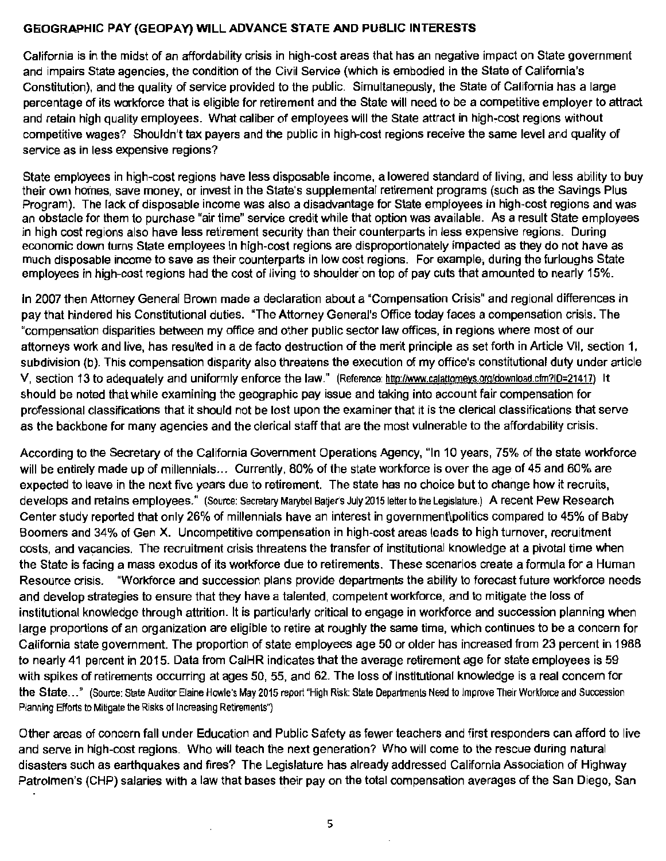### **GEOGRAPHIC PAY (GEOPAY) WILL ADVANCE STATE AND PUBLIC INTERESTS**

California is in the midst of an affordability crisis in high-cost areas that has an negative impact on State government and impairs State agencies, the condition of the Civil Service (which is embodied in the State of California's Constitution), and the quality of service provided to the public. Simultaneously, the State of California has a large percentage of its workforce that is eligible for retirement and the State will need to be a competitive employer to attract and retain high quality employees. What caliber of employees will the State attract in high-cost regions without competitive wages? Shouldn't tax payers and the public in high-cost regions receive the same level and quality of service as in less expensive regions?

State employees in high-cost regions have less disposable income, a lowered standard of living, and less ability to buy their own homes, save money, or invest in the State's supplemental retirement programs (such as the Savings Plus Program). The lack of disposable income was also a disadvantage for State employees in high-cost regions and was an obstacle for them to purchase "air time" service credit while that option was available. As a result State employees in high cost regions also have less retirement security than their counterparts in less expensive regions. During economic down turns State employees in high-cost regions are disproportionately impacted as they do not have as much disposable income to save as their counterparts in low cost regions. For example, during the furloughs State employees in high-cost regions had the cost of living to shoulder on top of pay cuts that amounted to nearly 15%.

In 2007 then Attorney General Brown made a declaration about a "Compensation Crisis" and regional differences in pay that hindered his Constitutional duties. "The Attorney General's Office today faces a compensation crisis. The "compensation disparities between my office and other public sector law offices, in regions where most of our attorneys work and live, has resulted in a de facto destruction of the merit principle as set forth in Article VII, section 1, subdivision (b). This compensation disparity also threatens the execution of my office's constitutional duty under article V, section 13 to adequately and uniformly enforce the law." (Reference: htto:/lwww.calattomeys.org/download.cfm?ID=21417) It should be noted that while examining the geographic pay issue and taking into account fair compensation for professional classifications that it should not be lost upon the examiner that it is the clerical classifications that serve as the backbone for many agencies and the clerical staff that are the most vulnerable to the affordability crisis.

According to the Secretary of the California Government Operations Agency, "In 10 years, 75% of the state workforce will be entirely made up of millennials... Currently, 80% of the state workforce is over the age of 45 and 60% are expected to leave in the next five years due to retirement. The state has no choice but to change how it recruits, develops and retains employees." (Source: Secretary Marybel Batjer's July 2015 letter to the Legislature.) A recent Pew Research Center study reported that only 26% of millennials have an interest in government\politics compared to 45% of Baby Boomers and 34% of Gen X. Uncompetitive compensation in high-cost areas leads to high turnover, recruitment costs, and vacancies. The recruitment crisis threatens the transfer of institutional knowledge at a pivotal time when the State is facing a mass exodus of its workforce due to retirements. These scenarios create a formula for a Human Resource crisis. "Workforce and succession plans provide departments the ability to forecast future workforce needs and develop strategies to ensure that they have a talented, competent workforce, and to mitigate the loss of institutional knowledge through attrition. It is particularly critical to engage in workforce and succession planning when large proportions of an organization are eligible to retire at roughly the same time, which continues to be a concern for California state government The proportion of state employees age 50 or older has increased from 23 percent in 1988 to nearly 41 percent in 2015. Data from CalHR indicates that the average retirement age for state employees is 59 with spikes of retirements occurring at ages 50, 55, and 62. The loss of institutional knowledge is a real concern for the State ... " (Source: State Auditor Elaine Howle's May 2015 report "High Risk: State Departments Need to Improve Their Workforce and Succession Planning Efforts to Mitigate the Risks of Increasing Retirements")

Other areas of concern fall under Education and Public Safety as fewer teachers and first responders can afford to live and serve in high-cost regions. Who will teach the next generation? Who will come to the rescue during natural disasters such as earthquakes and fires? The Legislature has already addressed California Association of Highway Patrolmen's (CHP) salaries with a law that bases their pay on the total compensation averages of the San Diego, San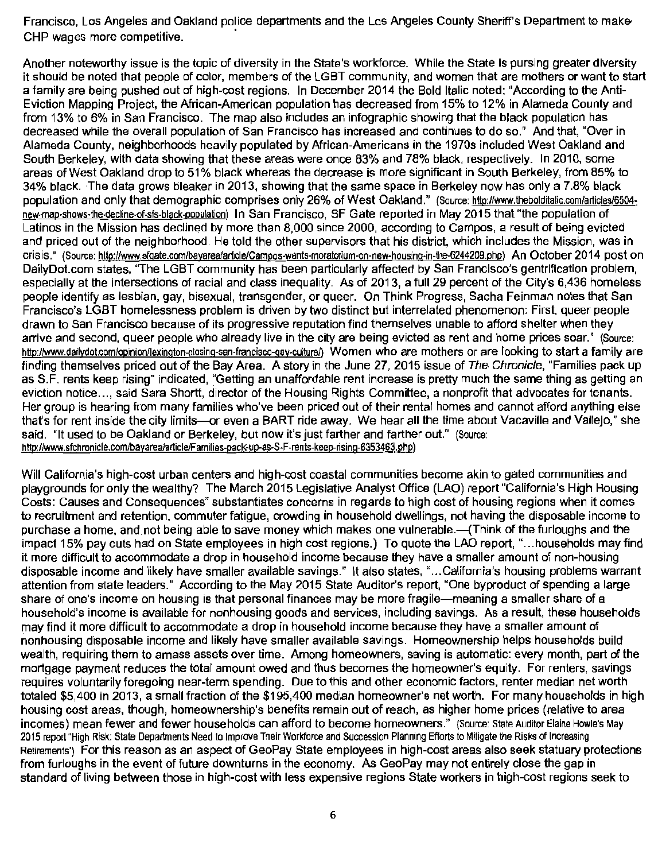Francisco, Los Angeles and Oakland police departments and the Los Angeles County Sheriff's Department to rnake-CHP wages more competitive.

Another noteworthy issue is the topic of diversity in the State's workforce. While the State is pursing greater diversity it should be noted that people of color, members of the LGBT community, and women that are mothers or want to start a family are being pushed out of high-cost regions. In December 2014 the Bold Italic noted: "According to the Anti-Eviction Mapping Project, the African-American population has decreased from 15% to 12% in Alameda County and from 13% to 6% in San Francisco. The map also includes an infographic showing that the black population has decreased while the overall population of San Francisco has increased and continues to do so." And that, "Over in Alameda County, neighborhoods heavily populated by African-Americans in the 1970s included West Oakland and South Berkeley, with data showing that these areas were once 83% and 78% black, respectively. In 2010, some areas of West Oakland drop to 51% black whereas the decrease is more significant in South Berkeley, from 85% to 34% black. The data grows bleaker in 2013, showing that the same space in Berkeley now has only a 7.8% black population and only that demographic comprises only 26% of West Oakland." (Source: http://www.lhebolditalic.com/articles/6504 new-map-shows-lhe-decline-of-sfs-black-population) In San Francisco, SF Gate reported in May 2015 that "the population of Latinos in the Mission has declined by more than 8,000 since 2000, according to Campos, a result of being evicted and priced out of the neighborhood. He told the other supervisors that his district, which includes the Mission, was in crisis." (Source: http://www.sfgate.com/bayarea/article/Campos-wants-moratorium-on-new-housing-in-the-6244209.php) An October 2014 post on DailyDot.com states, "The LGBT community has been particularly affected by San Francisco's gentrification problem, especially at the intersections of racial and class inequality. As of 2013, a full 29 percent of the City's 6,436 homeless people identify as lesbian, gay, bisexual, transgender, or queer. On Think Progress, Sacha Feinman notes that San Francisco's LGBT homelessness problem is driven by two distinct but interrelated phenomenon: First, queer people drawn to San Francisco because of its progressive reputation find themselves unable to afford shelter when they arrive and second, queer people who already live in the city are being evicted as rent and home prices soar." (Source: http://www.dailydot.com/opinion/lexington-closing-san-francisco-gay-culture/} Women who are mothers or are looking to start a family are finding themselves priced out of the Bay Area. A story in the June 27, 2015 issue of The Chronicle, "Families pack up as S.F. rents keep rising" indicated, "Getting an unaffordable rent increase is pretty much the same thing as getting an eviction notice..., said Sara Shortt, director of the Housing Rights Committee, a nonprofit that advocates for tenants. Her group is hearing from many families who've been priced out of their rental homes and cannot afford anything else that's for rent inside the city limits-or even a BART ride away. We hear all the time about Vacaville and Vallejo," she said. "It used to be Oakland or Berkeley, but now it's just farther and farther out." (Source: http://www.sfchronicle.com/bayarea/articleiFamilies·pack-up-as-S-F-rents-keep-rising-6353463.php)

Will California's high-cost urban centers and high-cost coastal communities become akin to gated communities and playgrounds for only the wealthy? The March 2015 Legislative Analyst Office (LAO) report "California's High Housing Costs: Causes and Consequences" substantiates concerns in regards to high cost of housing regions when it comes to recruitment and retention, commuter fatigue, crowding in household dwellings, not having the disposable income to purchase a home, and not being able to save money which makes one vulnerable.— (Think of the furloughs and the impact 15% pay cuts had on State employees in high cost regions.) To quote the LAO report, " ... households may find it more difficult to accommodate a drop in household income because they have a smaller amount of non-housing disposable income and likely have smaller available savings." It also states," ... California's housing problems warrant attention from state leaders." According to the May 2015 State Auditor's report, "One byproduct of spending a large share of one's income on housing is that personal finances may be more fragile--meaning a smaller share of a household's income is available for nonhousing goods and services, including savings. As a result, these households may find it more difficult to accommodate a drop in household income because they have a smaller amount of nonhousing disposable income and likely have smaller available savings. Homeownership helps households build wealth, requiring them to amass assets over time. Among homeowners, saving is automatic: every month, part of the mortgage payment reduces the total amount owed and thus becomes the homeowner's equity. For renters, savings requires voluntarily foregoing near-term spending. Due to this and other economic factors, renter median net worth totaled \$5,400 in 2013, a small fraction of the \$195,400 median homeowner's net worth. For many households in high housing cost areas, though, homeownership's benefits remain out of reach, as higher home prices (relative to area incomes) mean fewer and fewer households can afford to become homeowners." (Source: State Auditor Elaine Howle's May 2015 report "High Risk: State Departments Need to Improve Their Workforce and Succession Planning Efforts to Mitigate the Risks of Increasing Retirements") For this reason as an aspect of GeoPay State employees in high-cost areas also seek statuary protections from furloughs in the event of future downturns in the economy. As GeoPay may not entirely close the gap in standard of living between those in high-cost with less expensive regions State workers in high-cost regions seek to